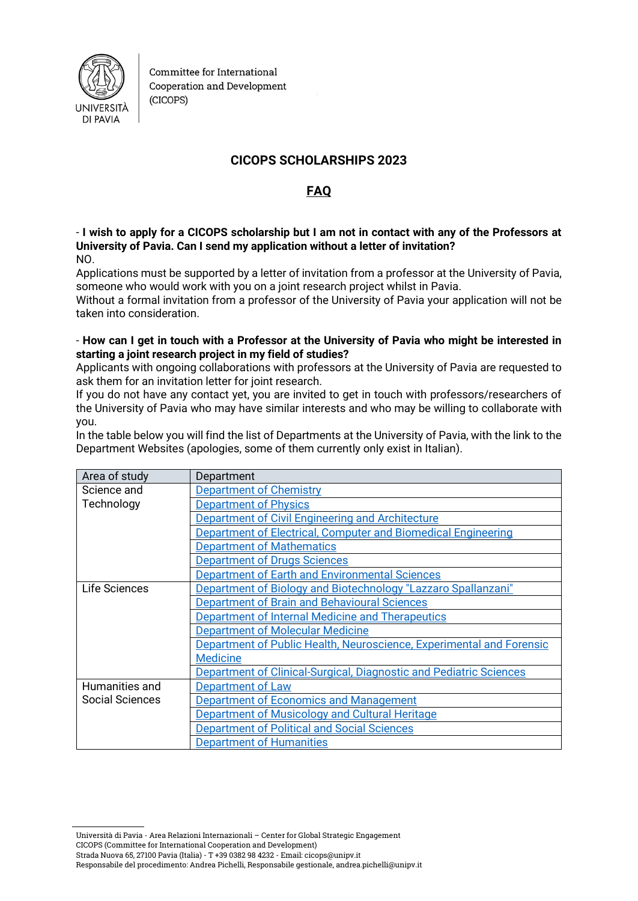

Committee for International Cooperation and Development (CICOPS)

# **CICOPS SCHOLARSHIPS 2023**

# **FAQ**

- **I wish to apply for a CICOPS scholarship but I am not in contact with any of the Professors at University of Pavia. Can I send my application without a letter of invitation?** NO.

Applications must be supported by a letter of invitation from a professor at the University of Pavia, someone who would work with you on a joint research project whilst in Pavia.

Without a formal invitation from a professor of the University of Pavia your application will not be taken into consideration.

#### - **How can I get in touch with a Professor at the University of Pavia who might be interested in starting a joint research project in my field of studies?**

Applicants with ongoing collaborations with professors at the University of Pavia are requested to ask them for an invitation letter for joint research.

If you do not have any contact yet, you are invited to get in touch with professors/researchers of the University of Pavia who may have similar interests and who may be willing to collaborate with you.

In the table below you will find the list of Departments at the University of Pavia, with the link to the Department Websites (apologies, some of them currently only exist in Italian).

| Area of study   | Department                                                           |
|-----------------|----------------------------------------------------------------------|
| Science and     | <b>Department of Chemistry</b>                                       |
| Technology      | <b>Department of Physics</b>                                         |
|                 | Department of Civil Engineering and Architecture                     |
|                 | Department of Electrical, Computer and Biomedical Engineering        |
|                 | <b>Department of Mathematics</b>                                     |
|                 | <b>Department of Drugs Sciences</b>                                  |
|                 | Department of Earth and Environmental Sciences                       |
| Life Sciences   | Department of Biology and Biotechnology "Lazzaro Spallanzani"        |
|                 | Department of Brain and Behavioural Sciences                         |
|                 | Department of Internal Medicine and Therapeutics                     |
|                 | <b>Department of Molecular Medicine</b>                              |
|                 | Department of Public Health, Neuroscience, Experimental and Forensic |
|                 | <b>Medicine</b>                                                      |
|                 | Department of Clinical-Surgical, Diagnostic and Pediatric Sciences   |
| Humanities and  | Department of Law                                                    |
| Social Sciences | <b>Department of Economics and Management</b>                        |
|                 | Department of Musicology and Cultural Heritage                       |
|                 | <b>Department of Political and Social Sciences</b>                   |
|                 | <b>Department of Humanities</b>                                      |

Università di Pavia - Area Relazioni Internazionali – Center for Global Strategic Engagement CICOPS (Committee for International Cooperation and Development) Strada Nuova 65, 27100 Pavia (Italia) - T +39 0382 98 4232 - Email: cicops@unipv.it

Responsabile del procedimento: Andrea Pichelli, Responsabile gestionale, andrea.pichelli@unipv.it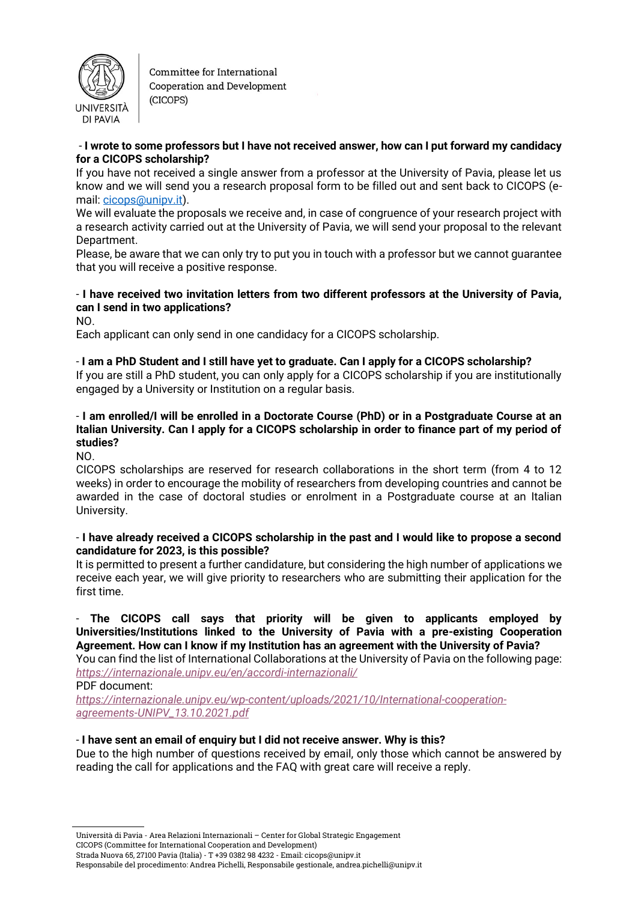

Committee for International Cooperation and Development (CICOPS)

#### - **I wrote to some professors but I have not received answer, how can I put forward my candidacy for a CICOPS scholarship?**

If you have not received a single answer from a professor at the University of Pavia, please let us know and we will send you a research proposal form to be filled out and sent back to CICOPS (email: [cicops@unipv.it\)](mailto:cicops@unipv.it).

We will evaluate the proposals we receive and, in case of congruence of your research project with a research activity carried out at the University of Pavia, we will send your proposal to the relevant Department.

Please, be aware that we can only try to put you in touch with a professor but we cannot guarantee that you will receive a positive response.

## - **I have received two invitation letters from two different professors at the University of Pavia, can I send in two applications?**

NO.

Each applicant can only send in one candidacy for a CICOPS scholarship.

#### - **I am a PhD Student and I still have yet to graduate. Can I apply for a CICOPS scholarship?**

If you are still a PhD student, you can only apply for a CICOPS scholarship if you are institutionally engaged by a University or Institution on a regular basis.

## - **I am enrolled/I will be enrolled in a Doctorate Course (PhD) or in a Postgraduate Course at an Italian University. Can I apply for a CICOPS scholarship in order to finance part of my period of studies?**

NO.

CICOPS scholarships are reserved for research collaborations in the short term (from 4 to 12 weeks) in order to encourage the mobility of researchers from developing countries and cannot be awarded in the case of doctoral studies or enrolment in a Postgraduate course at an Italian University.

#### - **I have already received a CICOPS scholarship in the past and I would like to propose a second candidature for 2023, is this possible?**

It is permitted to present a further candidature, but considering the high number of applications we receive each year, we will give priority to researchers who are submitting their application for the first time.

### - **The CICOPS call says that priority will be given to applicants employed by Universities/Institutions linked to the University of Pavia with a pre-existing Cooperation Agreement. How can I know if my Institution has an agreement with the University of Pavia?**

You can find the list of International Collaborations at the University of Pavia on the following page: *<https://internazionale.unipv.eu/en/accordi-internazionali/>*

PDF document:

*[https://internazionale.unipv.eu/wp-content/uploads/2021/10/International-cooperation](https://internazionale.unipv.eu/wp-content/uploads/2021/10/International-cooperation-agreements-UNIPV_13.10.2021.pdf)[agreements-UNIPV\\_13.10.2021.pdf](https://internazionale.unipv.eu/wp-content/uploads/2021/10/International-cooperation-agreements-UNIPV_13.10.2021.pdf)*

## - **I have sent an email of enquiry but I did not receive answer. Why is this?**

Due to the high number of questions received by email, only those which cannot be answered by reading the call for applications and the FAQ with great care will receive a reply.

Responsabile del procedimento: Andrea Pichelli, Responsabile gestionale, andrea.pichelli@unipv.it

Strada Nuova 65, 27100 Pavia (Italia) - T +39 0382 98 4232 - Email: cicops@unipv.it